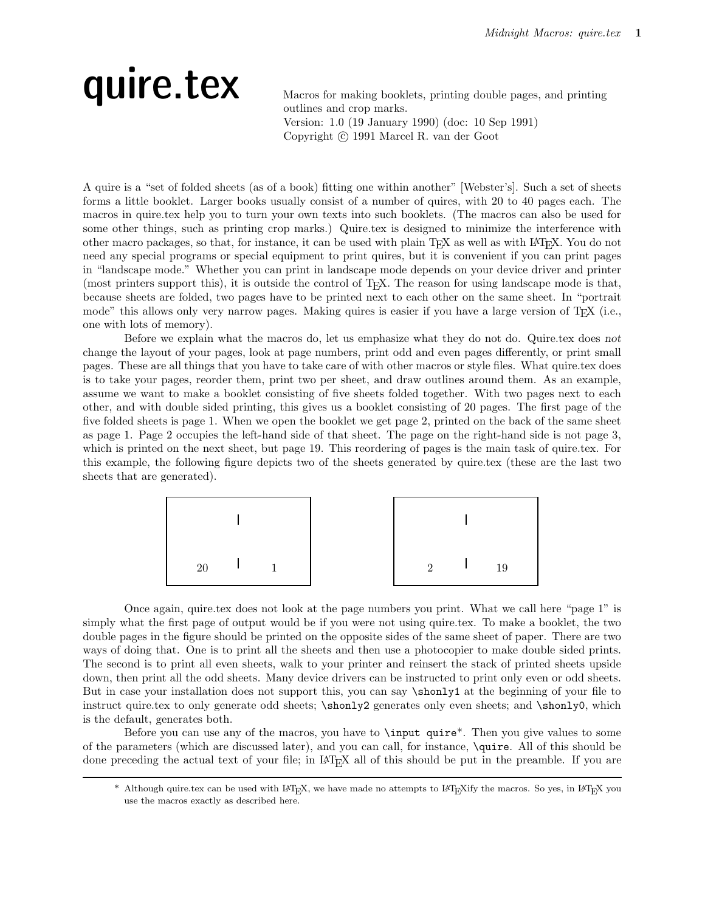### quire.tex Macros for making booklets, printing double pages, and printing

outlines and crop marks. Version: 1.0 (19 January 1990) (doc: 10 Sep 1991) Copyright (c) 1991 Marcel R. van der Goot

A quire is a "set of folded sheets (as of a book) fitting one within another" [Webster's]. Such a set of sheets forms a little booklet. Larger books usually consist of a number of quires, with 20 to 40 pages each. The macros in quire.tex help you to turn your own texts into such booklets. (The macros can also be used for some other things, such as printing crop marks.) Quire.tex is designed to minimize the interference with other macro packages, so that, for instance, it can be used with plain T<sub>E</sub>X as well as with  $I\llsub>T<sub>F</sub>X$ . You do not need any special programs or special equipment to print quires, but it is convenient if you can print pages in "landscape mode." Whether you can print in landscape mode depends on your device driver and printer (most printers support this), it is outside the control of TEX. The reason for using landscape mode is that, because sheets are folded, two pages have to be printed next to each other on the same sheet. In "portrait mode" this allows only very narrow pages. Making quires is easier if you have a large version of T<sub>E</sub>X (i.e., one with lots of memory).

Before we explain what the macros do, let us emphasize what they do not do. Quire.tex does not change the layout of your pages, look at page numbers, print odd and even pages differently, or print small pages. These are all things that you have to take care of with other macros or style files. What quire.tex does is to take your pages, reorder them, print two per sheet, and draw outlines around them. As an example, assume we want to make a booklet consisting of five sheets folded together. With two pages next to each other, and with double sided printing, this gives us a booklet consisting of 20 pages. The first page of the five folded sheets is page 1. When we open the booklet we get page 2, printed on the back of the same sheet as page 1. Page 2 occupies the left-hand side of that sheet. The page on the right-hand side is not page 3, which is printed on the next sheet, but page 19. This reordering of pages is the main task of quire.tex. For this example, the following figure depicts two of the sheets generated by quire.tex (these are the last two sheets that are generated).



Once again, quire.tex does not look at the page numbers you print. What we call here "page 1" is simply what the first page of output would be if you were not using quire.tex. To make a booklet, the two double pages in the figure should be printed on the opposite sides of the same sheet of paper. There are two ways of doing that. One is to print all the sheets and then use a photocopier to make double sided prints. The second is to print all even sheets, walk to your printer and reinsert the stack of printed sheets upside down, then print all the odd sheets. Many device drivers can be instructed to print only even or odd sheets. But in case your installation does not support this, you can say \shonly1 at the beginning of your file to instruct quire.tex to only generate odd sheets;  $\shonly2$  generates only even sheets; and  $\shonly0$ , which is the default, generates both.

Before you can use any of the macros, you have to \input quire\*. Then you give values to some of the parameters (which are discussed later), and you can call, for instance, \quire. All of this should be done preceding the actual text of your file; in L<sup>A</sup>TEX all of this should be put in the preamble. If you are

<sup>\*</sup> Although quire.tex can be used with LAT<sub>E</sub>X, we have made no attempts to LAT<sub>E</sub>Xify the macros. So yes, in LAT<sub>E</sub>X you use the macros exactly as described here.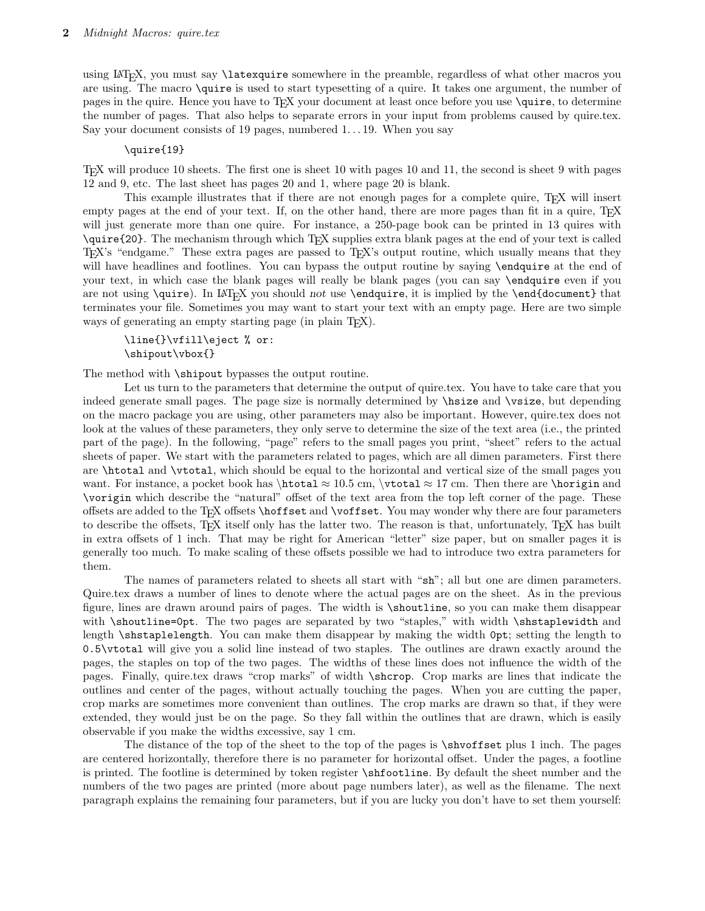using L<sup>A</sup>TEX, you must say \latexquire somewhere in the preamble, regardless of what other macros you are using. The macro \quire is used to start typesetting of a quire. It takes one argument, the number of pages in the quire. Hence you have to T<sub>EX</sub> your document at least once before you use \quire, to determine the number of pages. That also helps to separate errors in your input from problems caused by quire.tex. Say your document consists of 19 pages, numbered  $1 \dots 19$ . When you say

#### \quire{19}

TEX will produce 10 sheets. The first one is sheet 10 with pages 10 and 11, the second is sheet 9 with pages 12 and 9, etc. The last sheet has pages 20 and 1, where page 20 is blank.

This example illustrates that if there are not enough pages for a complete quire, TEX will insert empty pages at the end of your text. If, on the other hand, there are more pages than fit in a quire, T<sub>E</sub>X will just generate more than one quire. For instance, a 250-page book can be printed in 13 quires with \quire{20}. The mechanism through which TEX supplies extra blank pages at the end of your text is called TEX's "endgame." These extra pages are passed to TEX's output routine, which usually means that they will have headlines and footlines. You can bypass the output routine by saying **\endquire** at the end of your text, in which case the blank pages will really be blank pages (you can say \endquire even if you are not using  $\quire$ . In LAT<sub>EX</sub> you should not use  $\end{equire}$ , it is implied by the  $\end{equation}$  that terminates your file. Sometimes you may want to start your text with an empty page. Here are two simple ways of generating an empty starting page (in plain T<sub>E</sub>X).

\line{}\vfill\eject % or: \shipout\vbox{}

The method with \shipout bypasses the output routine.

Let us turn to the parameters that determine the output of quire.tex. You have to take care that you indeed generate small pages. The page size is normally determined by \hsize and \vsize, but depending on the macro package you are using, other parameters may also be important. However, quire.tex does not look at the values of these parameters, they only serve to determine the size of the text area (i.e., the printed part of the page). In the following, "page" refers to the small pages you print, "sheet" refers to the actual sheets of paper. We start with the parameters related to pages, which are all dimen parameters. First there are \htotal and \vtotal, which should be equal to the horizontal and vertical size of the small pages you want. For instance, a pocket book has \htotal  $\approx 10.5$  cm, \vtotal  $\approx 17$  cm. Then there are \horigin and \vorigin which describe the "natural" offset of the text area from the top left corner of the page. These offsets are added to the TEX offsets \hoffset and \voffset. You may wonder why there are four parameters to describe the offsets, T<sub>E</sub>X itself only has the latter two. The reason is that, unfortunately, T<sub>E</sub>X has built in extra offsets of 1 inch. That may be right for American "letter" size paper, but on smaller pages it is generally too much. To make scaling of these offsets possible we had to introduce two extra parameters for them.

The names of parameters related to sheets all start with "sh"; all but one are dimen parameters. Quire.tex draws a number of lines to denote where the actual pages are on the sheet. As in the previous figure, lines are drawn around pairs of pages. The width is \shoutline, so you can make them disappear with \shoutline=0pt. The two pages are separated by two "staples," with width \shstaplewidth and length \shstaplelength. You can make them disappear by making the width 0pt; setting the length to 0.5\vtotal will give you a solid line instead of two staples. The outlines are drawn exactly around the pages, the staples on top of the two pages. The widths of these lines does not influence the width of the pages. Finally, quire.tex draws "crop marks" of width \shcrop. Crop marks are lines that indicate the outlines and center of the pages, without actually touching the pages. When you are cutting the paper, crop marks are sometimes more convenient than outlines. The crop marks are drawn so that, if they were extended, they would just be on the page. So they fall within the outlines that are drawn, which is easily observable if you make the widths excessive, say 1 cm.

The distance of the top of the sheet to the top of the pages is \shvoffset plus 1 inch. The pages are centered horizontally, therefore there is no parameter for horizontal offset. Under the pages, a footline is printed. The footline is determined by token register \shfootline. By default the sheet number and the numbers of the two pages are printed (more about page numbers later), as well as the filename. The next paragraph explains the remaining four parameters, but if you are lucky you don't have to set them yourself: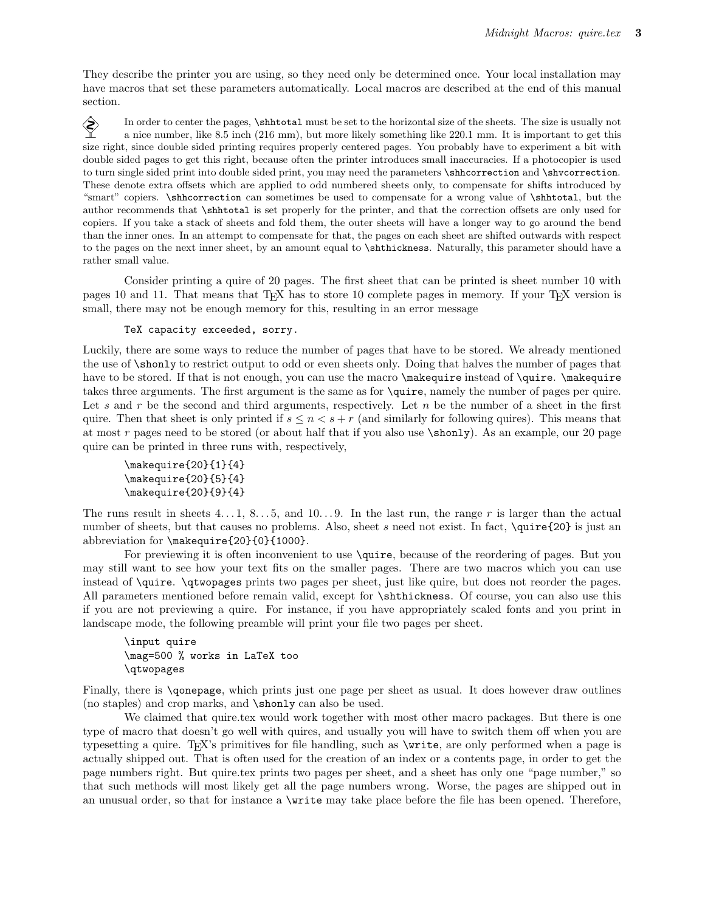They describe the printer you are using, so they need only be determined once. Your local installation may have macros that set these parameters automatically. Local macros are described at the end of this manual section.

In order to center the pages,  $\sh$ htotal must be set to the horizontal size of the sheets. The size is usually not a nice number, like 8.5 inch (216 mm), but more likely something like 220.1 mm. It is important to get this size right, since double sided printing requires properly centered pages. You probably have to experiment a bit with double sided pages to get this right, because often the printer introduces small inaccuracies. If a photocopier is used to turn single sided print into double sided print, you may need the parameters \shhcorrection and \shvcorrection. These denote extra offsets which are applied to odd numbered sheets only, to compensate for shifts introduced by "smart" copiers. \shhcorrection can sometimes be used to compensate for a wrong value of \shhtotal, but the author recommends that \shhtotal is set properly for the printer, and that the correction offsets are only used for copiers. If you take a stack of sheets and fold them, the outer sheets will have a longer way to go around the bend than the inner ones. In an attempt to compensate for that, the pages on each sheet are shifted outwards with respect to the pages on the next inner sheet, by an amount equal to \shthickness. Naturally, this parameter should have a rather small value.

Consider printing a quire of 20 pages. The first sheet that can be printed is sheet number 10 with pages 10 and 11. That means that T<sub>EX</sub> has to store 10 complete pages in memory. If your T<sub>EX</sub> version is small, there may not be enough memory for this, resulting in an error message

#### TeX capacity exceeded, sorry.

Luckily, there are some ways to reduce the number of pages that have to be stored. We already mentioned the use of \shonly to restrict output to odd or even sheets only. Doing that halves the number of pages that have to be stored. If that is not enough, you can use the macro \makequire instead of \quire. \makequire takes three arguments. The first argument is the same as for \quire, namely the number of pages per quire. Let s and r be the second and third arguments, respectively. Let  $n$  be the number of a sheet in the first quire. Then that sheet is only printed if  $s \leq n \leq s + r$  (and similarly for following quires). This means that at most r pages need to be stored (or about half that if you also use \shonly). As an example, our 20 page quire can be printed in three runs with, respectively,

```
\makequire{20}{1}{4}
\makequire{20}{5}{4}
\makequire{20}{9}{4}
```
The runs result in sheets  $4 \dots 1$ ,  $8 \dots 5$ , and  $10 \dots 9$ . In the last run, the range r is larger than the actual number of sheets, but that causes no problems. Also, sheet s need not exist. In fact, \quire{20} is just an abbreviation for \makequire{20}{0}{1000}.

For previewing it is often inconvenient to use \quire, because of the reordering of pages. But you may still want to see how your text fits on the smaller pages. There are two macros which you can use instead of \quire. \qtwopages prints two pages per sheet, just like quire, but does not reorder the pages. All parameters mentioned before remain valid, except for \shthickness. Of course, you can also use this if you are not previewing a quire. For instance, if you have appropriately scaled fonts and you print in landscape mode, the following preamble will print your file two pages per sheet.

\input quire \mag=500 % works in LaTeX too \qtwopages

Finally, there is \qonepage, which prints just one page per sheet as usual. It does however draw outlines (no staples) and crop marks, and \shonly can also be used.

We claimed that quire.tex would work together with most other macro packages. But there is one type of macro that doesn't go well with quires, and usually you will have to switch them off when you are typesetting a quire. TEX's primitives for file handling, such as \write, are only performed when a page is actually shipped out. That is often used for the creation of an index or a contents page, in order to get the page numbers right. But quire.tex prints two pages per sheet, and a sheet has only one "page number," so that such methods will most likely get all the page numbers wrong. Worse, the pages are shipped out in an unusual order, so that for instance a \write may take place before the file has been opened. Therefore,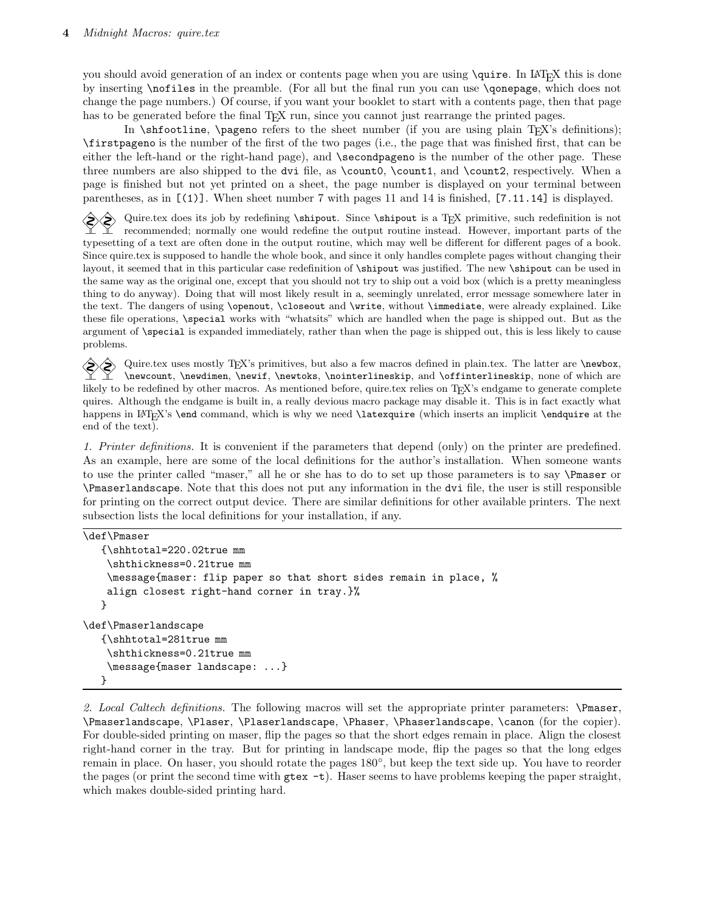you should avoid generation of an index or contents page when you are using  $\quire$ . In LAT<sub>EX</sub> this is done by inserting \nofiles in the preamble. (For all but the final run you can use \qonepage, which does not change the page numbers.) Of course, if you want your booklet to start with a contents page, then that page has to be generated before the final T<sub>EX</sub> run, since you cannot just rearrange the printed pages.

In  $\sh$ footline,  $\sp$ ageno refers to the sheet number (if you are using plain T<sub>EX</sub>'s definitions); \firstpageno is the number of the first of the two pages (i.e., the page that was finished first, that can be either the left-hand or the right-hand page), and \secondpageno is the number of the other page. These three numbers are also shipped to the dvi file, as \count0, \count1, and \count2, respectively. When a page is finished but not yet printed on a sheet, the page number is displayed on your terminal between parentheses, as in [(1)]. When sheet number 7 with pages 11 and 14 is finished, [7.11.14] is displayed.

Quire.tex does its job by redefining \shipout. Since \shipout is a T<sub>EX</sub> primitive, such redefinition is not recommended; normally one would redefine the output routine instead. However, important parts of the typesetting of a text are often done in the output routine, which may well be different for different pages of a book. Since quire.tex is supposed to handle the whole book, and since it only handles complete pages without changing their layout, it seemed that in this particular case redefinition of \shipout was justified. The new \shipout can be used in the same way as the original one, except that you should not try to ship out a void box (which is a pretty meaningless thing to do anyway). Doing that will most likely result in a, seemingly unrelated, error message somewhere later in the text. The dangers of using \openout, \closeout and \write, without \immediate, were already explained. Like these file operations, \special works with "whatsits" which are handled when the page is shipped out. But as the argument of \special is expanded immediately, rather than when the page is shipped out, this is less likely to cause problems.

Quire.tex uses mostly T<sub>EX</sub>'s primitives, but also a few macros defined in plain.tex. The latter are \newbox, \newcount, \newdimen, \newif, \newtoks, \nointerlineskip, and \offinterlineskip, none of which are likely to be redefined by other macros. As mentioned before, quire.tex relies on T<sub>E</sub>X's endgame to generate complete quires. Although the endgame is built in, a really devious macro package may disable it. This is in fact exactly what happens in LAT<sub>E</sub>X's **\end** command, which is why we need **\latexquire** (which inserts an implicit **\endquire** at the end of the text).

1. Printer definitions. It is convenient if the parameters that depend (only) on the printer are predefined. As an example, here are some of the local definitions for the author's installation. When someone wants to use the printer called "maser," all he or she has to do to set up those parameters is to say \Pmaser or \Pmaserlandscape. Note that this does not put any information in the dvi file, the user is still responsible for printing on the correct output device. There are similar definitions for other available printers. The next subsection lists the local definitions for your installation, if any.

```
\def\Pmaser
```

```
{\shhtotal=220.02true mm
    \shthickness=0.21true mm
    \message{maser: flip paper so that short sides remain in place, %
   align closest right-hand corner in tray.}%
   }
\def\Pmaserlandscape
   {\shhtotal=281true mm
   \shthickness=0.21true mm
    \message{maser landscape: ...}
  }
```
2. Local Caltech definitions. The following macros will set the appropriate printer parameters: \Pmaser, \Pmaserlandscape, \Plaser, \Plaserlandscape, \Phaser, \Phaserlandscape, \canon (for the copier). For double-sided printing on maser, flip the pages so that the short edges remain in place. Align the closest right-hand corner in the tray. But for printing in landscape mode, flip the pages so that the long edges remain in place. On haser, you should rotate the pages 180◦ , but keep the text side up. You have to reorder the pages (or print the second time with  $g$ tex  $-t$ ). Haser seems to have problems keeping the paper straight, which makes double-sided printing hard.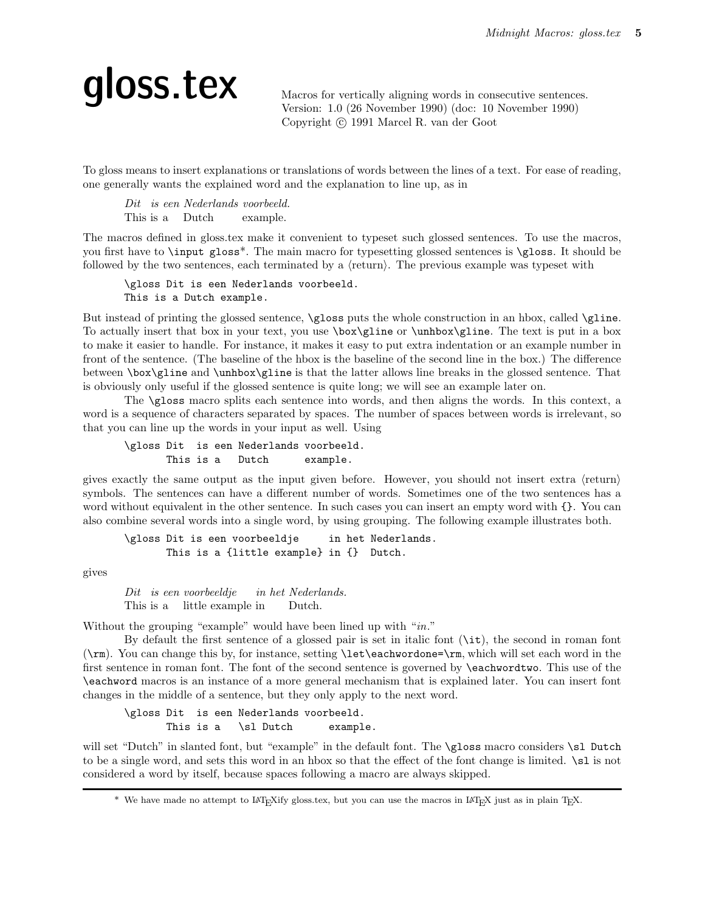## qloss.tex Macros for vertically aligning words in consecutive sentences.

Version: 1.0 (26 November 1990) (doc: 10 November 1990) Copyright (c) 1991 Marcel R. van der Goot

To gloss means to insert explanations or translations of words between the lines of a text. For ease of reading, one generally wants the explained word and the explanation to line up, as in

Dit is een Nederlands voorbeeld. This is a Dutch example.

The macros defined in gloss.tex make it convenient to typeset such glossed sentences. To use the macros, you first have to \input gloss\*. The main macro for typesetting glossed sentences is \gloss. It should be followed by the two sentences, each terminated by a  $\langle$ return $\rangle$ . The previous example was typeset with

\gloss Dit is een Nederlands voorbeeld. This is a Dutch example.

But instead of printing the glossed sentence,  $\gtrsim$  puts the whole construction in an hbox, called  $\gtrsim$  1. To actually insert that box in your text, you use \box\gline or \unhbox\gline. The text is put in a box to make it easier to handle. For instance, it makes it easy to put extra indentation or an example number in front of the sentence. (The baseline of the hbox is the baseline of the second line in the box.) The difference between \box\gline and \unhbox\gline is that the latter allows line breaks in the glossed sentence. That is obviously only useful if the glossed sentence is quite long; we will see an example later on.

The \gloss macro splits each sentence into words, and then aligns the words. In this context, a word is a sequence of characters separated by spaces. The number of spaces between words is irrelevant, so that you can line up the words in your input as well. Using

\gloss Dit is een Nederlands voorbeeld. This is a Dutch example.

gives exactly the same output as the input given before. However, you should not insert extra  $\langle$ return $\rangle$ symbols. The sentences can have a different number of words. Sometimes one of the two sentences has a word without equivalent in the other sentence. In such cases you can insert an empty word with  $\{\}$ . You can also combine several words into a single word, by using grouping. The following example illustrates both.

```
\gloss Dit is een voorbeeldje in het Nederlands.
      This is a {little example} in {} Dutch.
```
gives

Dit is een voorbeeldje This is a little example in in het Nederlands. Dutch.

Without the grouping "example" would have been lined up with "in."

By default the first sentence of a glossed pair is set in italic font (\it), the second in roman font (\rm). You can change this by, for instance, setting \let\eachwordone=\rm, which will set each word in the first sentence in roman font. The font of the second sentence is governed by \eachwordtwo. This use of the \eachword macros is an instance of a more general mechanism that is explained later. You can insert font changes in the middle of a sentence, but they only apply to the next word.

\gloss Dit is een Nederlands voorbeeld. This is a \sl Dutch example.

will set "Dutch" in slanted font, but "example" in the default font. The **\gloss** macro considers **\sl** Dutch to be a single word, and sets this word in an hbox so that the effect of the font change is limited. \sl is not considered a word by itself, because spaces following a macro are always skipped.

<sup>\*</sup> We have made no attempt to L<sup>A</sup>TEXify gloss.tex, but you can use the macros in L<sup>A</sup>TEX just as in plain TEX.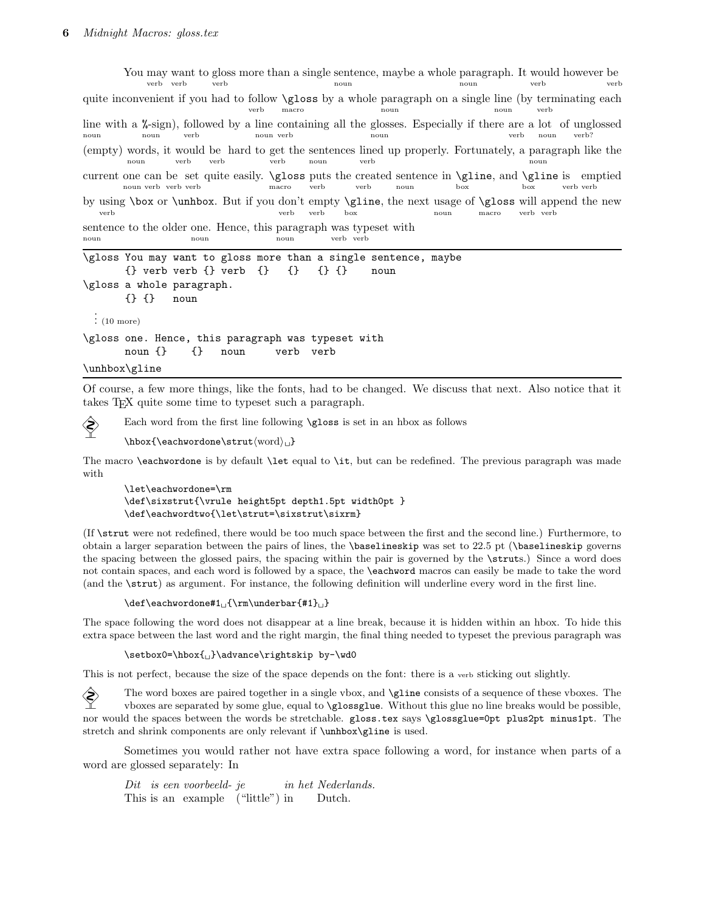You may want to gloss more than a single sentence, maybe a whole paragraph. It would however be verb verb verb noun noun verb verb quite inconvenient if you had to follow \gloss by a whole paragraph on a single line (by terminating each verb macro noun noun verb line with a *\**-sign), followed by a line containing all the glosses. Especially if there are a lot of unglossed noun noun verb noun verb noun verb noun verb? (empty) words, it would be hard to get the sentences lined up properly. Fortunately, a paragraph like the noun verb verb verb noun verb noun current one can be set quite easily.  $\gtrsim$  closs puts the created sentence in  $\gtrsim$  and  $\gtrsim$  emptied noun verb verb verb macro verb verb noun box box verb verb by using \box or \unhbox. But if you don't empty \gline, the next usage of \gloss will append the new verb verb verb box noun macro verb verb sentence to the older one. Hence, this paragraph was typeset with noun noun noun verb verb \gloss You may want to gloss more than a single sentence, maybe  $\{\}$  verb verb  $\{\}$  verb  $\{\}$   $\{\}$   $\{\}$   $\{\}$   $\{\}$  noun \gloss a whole paragraph. {} {} noun . . . (10 more) \gloss one. Hence, this paragraph was typeset with noun {} {} noun verb verb

\unhbox\gline

Of course, a few more things, like the fonts, had to be changed. We discuss that next. Also notice that it takes TEX quite some time to typeset such a paragraph.

Each word from the first line following **\gloss** is set in an hbox as follows

 $\hbox{\tt \textbf{}}}(word)_{\text{} \}$ 

The macro \eachwordone is by default \let equal to \it, but can be redefined. The previous paragraph was made with

\let\eachwordone=\rm \def\sixstrut{\vrule height5pt depth1.5pt width0pt } \def\eachwordtwo{\let\strut=\sixstrut\sixrm}

(If \strut were not redefined, there would be too much space between the first and the second line.) Furthermore, to obtain a larger separation between the pairs of lines, the \baselineskip was set to 22.5 pt (\baselineskip governs the spacing between the glossed pairs, the spacing within the pair is governed by the \struts.) Since a word does not contain spaces, and each word is followed by a space, the \eachword macros can easily be made to take the word (and the \strut) as argument. For instance, the following definition will underline every word in the first line.

 $\def\centileachwordone#1<sub>□</sub>{\rm\underbar{#1}}<sub>□</sub>$ 

The space following the word does not disappear at a line break, because it is hidden within an hbox. To hide this extra space between the last word and the right margin, the final thing needed to typeset the previous paragraph was

\setbox0=\hbox{<sub>1</sub>}\advance\rightskip by-\wd0

This is not perfect, because the size of the space depends on the font: there is a verb sticking out slightly.

 $\diamondsuit$  The word boxes are paired together in a single vbox, and  $\gtrsim$  and  $\qquad$  a sequence of these vboxes. The vboxes are separated by some glue, equal to \glossglue. Without this glue no line breaks would be possible, nor would the spaces between the words be stretchable. gloss.tex says \glossglue=0pt plus2pt minus1pt. The stretch and shrink components are only relevant if \unhbox\gline is used.

Sometimes you would rather not have extra space following a word, for instance when parts of a word are glossed separately: In

Dit is een voorbeeld-je This is an example ("little") in in het Nederlands. Dutch.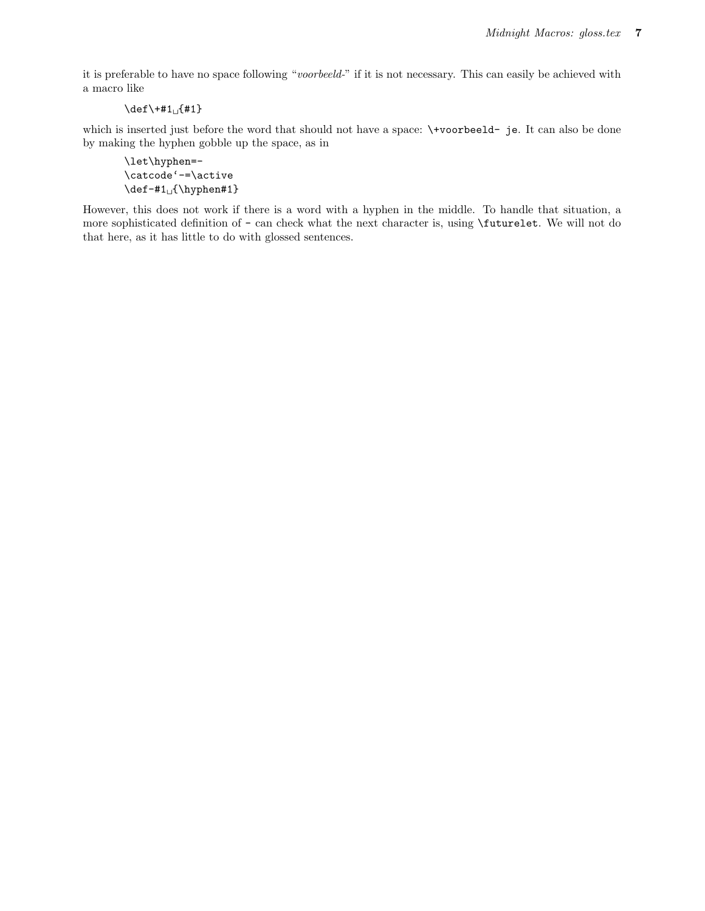it is preferable to have no space following "voorbeeld-" if it is not necessary. This can easily be achieved with a macro like

 $\det\+#1 \quad {#1}$ 

which is inserted just before the word that should not have a space:  $\forall$ voorbeeld- je. It can also be done by making the hyphen gobble up the space, as in

\let\hyphen=- \catcode'-=\active  $\def -#1$ 

However, this does not work if there is a word with a hyphen in the middle. To handle that situation, a more sophisticated definition of - can check what the next character is, using \futurelet. We will not do that here, as it has little to do with glossed sentences.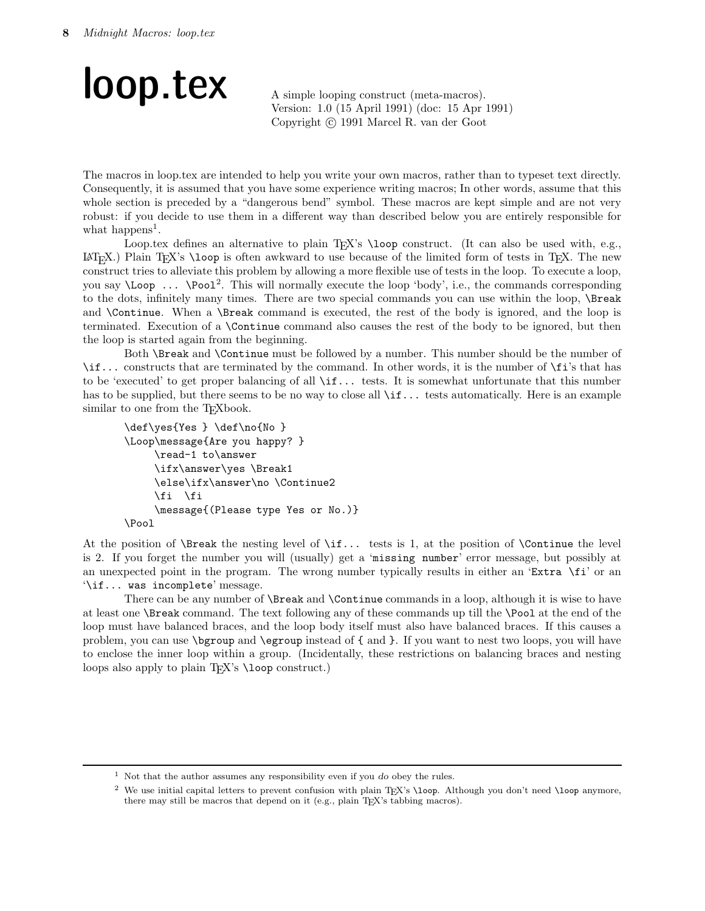## loop.tex A simple looping construct (meta-macros).

Version: 1.0 (15 April 1991) (doc: 15 Apr 1991) Copyright (c) 1991 Marcel R. van der Goot

The macros in loop.tex are intended to help you write your own macros, rather than to typeset text directly. Consequently, it is assumed that you have some experience writing macros; In other words, assume that this whole section is preceded by a "dangerous bend" symbol. These macros are kept simple and are not very robust: if you decide to use them in a different way than described below you are entirely responsible for what happens<sup>1</sup>.

Loop.tex defines an alternative to plain T<sub>E</sub>X's \loop construct. (It can also be used with, e.g.,  $\langle \text{L}T_{\text{F}}X$ .) Plain T<sub>EX</sub>'s \loop is often awkward to use because of the limited form of tests in T<sub>EX</sub>. The new construct tries to alleviate this problem by allowing a more flexible use of tests in the loop. To execute a loop, you say **\Loop** ... **\Pool**<sup>2</sup>. This will normally execute the loop 'body', i.e., the commands corresponding to the dots, infinitely many times. There are two special commands you can use within the loop, \Break and **\Continue.** When a **\Break** command is executed, the rest of the body is ignored, and the loop is terminated. Execution of a \Continue command also causes the rest of the body to be ignored, but then the loop is started again from the beginning.

Both \Break and \Continue must be followed by a number. This number should be the number of \if... constructs that are terminated by the command. In other words, it is the number of \fi's that has to be 'executed' to get proper balancing of all \if... tests. It is somewhat unfortunate that this number has to be supplied, but there seems to be no way to close all  $\if.$ .. tests automatically. Here is an example similar to one from the T<sub>E</sub>Xbook.

```
\def\yes{Yes } \def\no{No }
\Loop\message{Are you happy? }
     \read-1 to\answer
     \ifx\answer\yes \Break1
     \else\ifx\answer\no \Continue2
     \fi \fi
     \message{(Please type Yes or No.)}
\Pool
```
At the position of  $\B$ reak the nesting level of  $\if.$ .. tests is 1, at the position of  $\Cont$ nue the level is 2. If you forget the number you will (usually) get a 'missing number' error message, but possibly at an unexpected point in the program. The wrong number typically results in either an 'Extra  $\setminus$ fi' or an '\if... was incomplete' message.

There can be any number of **\Break** and **\Continue** commands in a loop, although it is wise to have at least one \Break command. The text following any of these commands up till the \Pool at the end of the loop must have balanced braces, and the loop body itself must also have balanced braces. If this causes a problem, you can use \bgroup and \egroup instead of { and }. If you want to nest two loops, you will have to enclose the inner loop within a group. (Incidentally, these restrictions on balancing braces and nesting loops also apply to plain T<sub>EX</sub>'s \loop construct.)

<sup>&</sup>lt;sup>1</sup> Not that the author assumes any responsibility even if you do obey the rules.

<sup>&</sup>lt;sup>2</sup> We use initial capital letters to prevent confusion with plain T<sub>E</sub>X's \loop. Although you don't need \loop anymore, there may still be macros that depend on it (e.g., plain TEX's tabbing macros).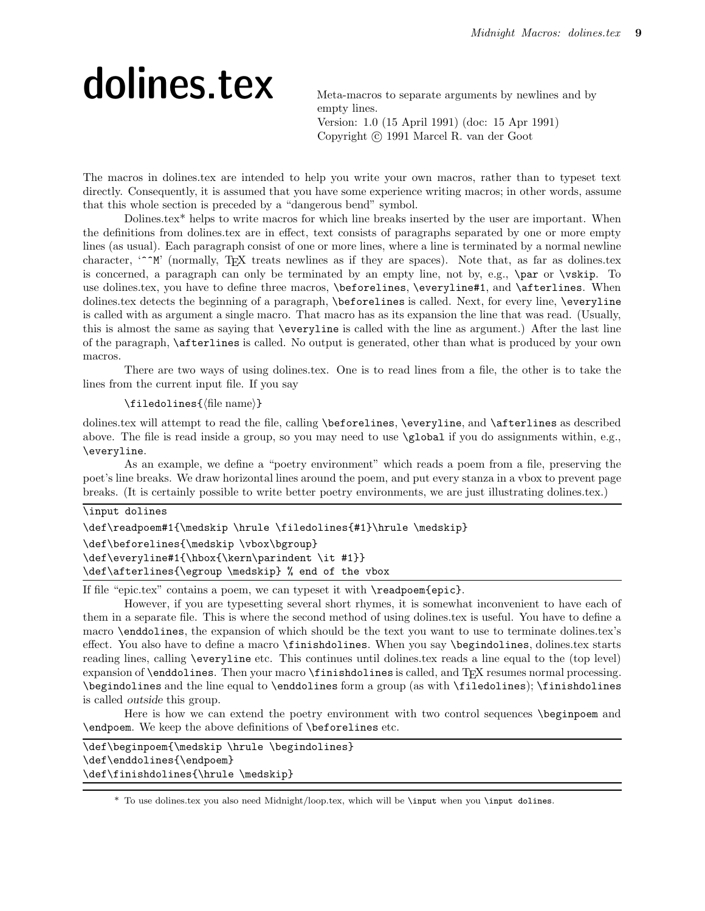## dolines.tex Meta-macros to separate arguments by newlines and by

empty lines. Version: 1.0 (15 April 1991) (doc: 15 Apr 1991) Copyright (c) 1991 Marcel R. van der Goot

The macros in dolines.tex are intended to help you write your own macros, rather than to typeset text directly. Consequently, it is assumed that you have some experience writing macros; in other words, assume that this whole section is preceded by a "dangerous bend" symbol.

Dolines.tex\* helps to write macros for which line breaks inserted by the user are important. When the definitions from dolines.tex are in effect, text consists of paragraphs separated by one or more empty lines (as usual). Each paragraph consist of one or more lines, where a line is terminated by a normal newline character, '<sup>^</sup>M' (normally, TEX treats newlines as if they are spaces). Note that, as far as dolines.tex is concerned, a paragraph can only be terminated by an empty line, not by, e.g., \par or \vskip. To use dolines.tex, you have to define three macros, \beforelines, \everyline#1, and \afterlines. When dolines.tex detects the beginning of a paragraph, \beforelines is called. Next, for every line, \everyline is called with as argument a single macro. That macro has as its expansion the line that was read. (Usually, this is almost the same as saying that \everyline is called with the line as argument.) After the last line of the paragraph, \afterlines is called. No output is generated, other than what is produced by your own macros.

There are two ways of using dolines.tex. One is to read lines from a file, the other is to take the lines from the current input file. If you say

#### $\theta$ iledolines $\{$ file name $\}$

dolines.tex will attempt to read the file, calling \beforelines, \everyline, and \afterlines as described above. The file is read inside a group, so you may need to use \global if you do assignments within, e.g., \everyline.

As an example, we define a "poetry environment" which reads a poem from a file, preserving the poet's line breaks. We draw horizontal lines around the poem, and put every stanza in a vbox to prevent page breaks. (It is certainly possible to write better poetry environments, we are just illustrating dolines.tex.)

| \input dolines                                                   |
|------------------------------------------------------------------|
| \def\readpoem#1{\medskip \hrule \filedolines{#1}\hrule \medskip} |
| \def\beforelines{\medskip \vbox\bgroup}                          |
| \def\everyline#1{\hbox{\kern\parindent \it #1}}                  |
| \def\afterlines{\egroup \medskip} % end of the vbox              |

If file "epic.tex" contains a poem, we can typeset it with \readpoem{epic}.

However, if you are typesetting several short rhymes, it is somewhat inconvenient to have each of them in a separate file. This is where the second method of using dolines.tex is useful. You have to define a macro \enddolines, the expansion of which should be the text you want to use to terminate dolines.tex's effect. You also have to define a macro \finishdolines. When you say \begindolines, dolines.tex starts reading lines, calling \everyline etc. This continues until dolines.tex reads a line equal to the (top level) expansion of \enddolines. Then your macro \finishdolines is called, and T<sub>E</sub>X resumes normal processing. \begindolines and the line equal to \enddolines form a group (as with \filedolines); \finishdolines is called outside this group.

Here is how we can extend the poetry environment with two control sequences \beginpoem and \endpoem. We keep the above definitions of \beforelines etc.

| \def\beginpoem{\medskip \hrule \begindolines} |  |
|-----------------------------------------------|--|
| \def\enddolines{\endpoem}                     |  |
| \def\finishdolines{\hrule \medskip}           |  |

\* To use dolines.tex you also need Midnight/loop.tex, which will be \input when you \input dolines.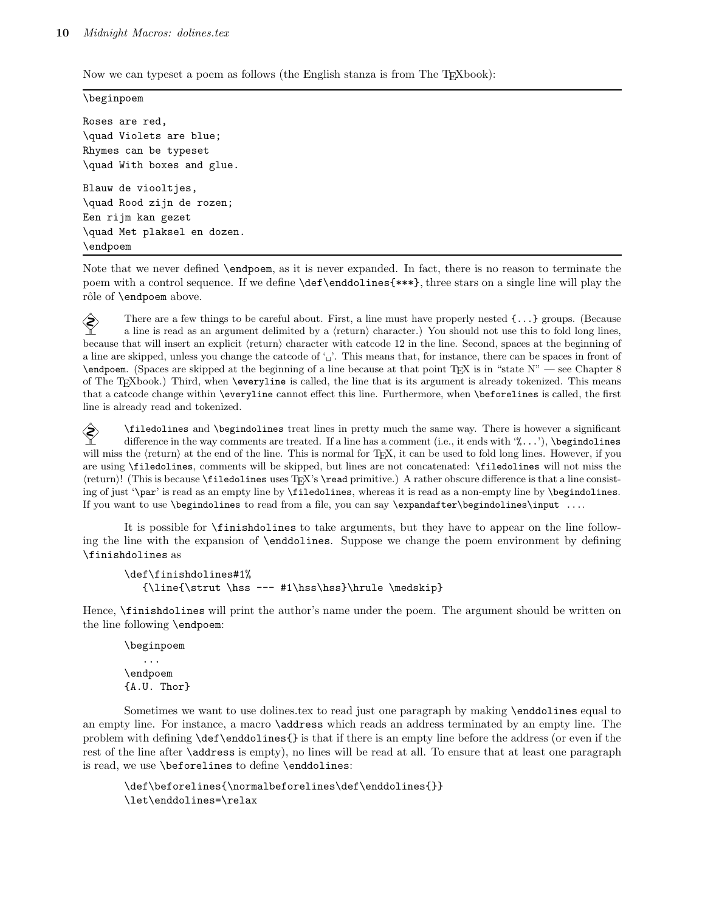Now we can typeset a poem as follows (the English stanza is from The T<sub>E</sub>Xbook):

```
\beginpoem
```
Roses are red, \quad Violets are blue; Rhymes can be typeset \quad With boxes and glue. Blauw de viooltjes, \quad Rood zijn de rozen; Een rijm kan gezet \quad Met plaksel en dozen. \endpoem

Note that we never defined \endpoem, as it is never expanded. In fact, there is no reason to terminate the poem with a control sequence. If we define \def\enddolines{\*\*\*}, three stars on a single line will play the rôle of **\endpoem** above.

 There are a few things to be careful about. First, a line must have properly nested {...} groups. (Because a line is read as an argument delimited by a  $\langle$ return $\rangle$  character.) You should not use this to fold long lines, because that will insert an explicit  $\langle$ return $\rangle$  character with catcode 12 in the line. Second, spaces at the beginning of a line are skipped, unless you change the catcode of '<sub>u</sub>'. This means that, for instance, there can be spaces in front of  $\end{math}$  (Spaces are skipped at the beginning of a line because at that point T<sub>EX</sub> is in "state N" — see Chapter 8 of The TEXbook.) Third, when \everyline is called, the line that is its argument is already tokenized. This means that a catcode change within \everyline cannot effect this line. Furthermore, when \beforelines is called, the first line is already read and tokenized.

 $\diamondsuit$  \filedolines and \begindolines treat lines in pretty much the same way. There is however a significant difference in the way comments are treated. If a line has a comment (i.e., it ends with '). \begrindolines difference in the way comments are treated. If a line has a comment (i.e., it ends with '%...'), \begindolines will miss the  $\langle$ return $\rangle$  at the end of the line. This is normal for TEX, it can be used to fold long lines. However, if you are using \filedolines, comments will be skipped, but lines are not concatenated: \filedolines will not miss the (return)! (This is because \filedolines uses TEX's \read primitive.) A rather obscure difference is that a line consisting of just '\par' is read as an empty line by \filedolines, whereas it is read as a non-empty line by \begindolines. If you want to use \begindolines to read from a file, you can say \expandafter\begindolines\input ....

It is possible for \finishdolines to take arguments, but they have to appear on the line following the line with the expansion of \enddolines. Suppose we change the poem environment by defining \finishdolines as

```
\def\finishdolines#1%
   {\line{\strut \hss --- #1\hss\hss}\hrule \medskip}
```
Hence, \finishdolines will print the author's name under the poem. The argument should be written on the line following \endpoem:

\beginpoem ... \endpoem {A.U. Thor}

Sometimes we want to use dolines.tex to read just one paragraph by making \enddolines equal to an empty line. For instance, a macro **\address** which reads an address terminated by an empty line. The problem with defining \def\enddolines{} is that if there is an empty line before the address (or even if the rest of the line after **\address** is empty), no lines will be read at all. To ensure that at least one paragraph is read, we use \beforelines to define \enddolines:

```
\def\beforelines{\normalbeforelines\def\enddolines{}}
\let\enddolines=\relax
```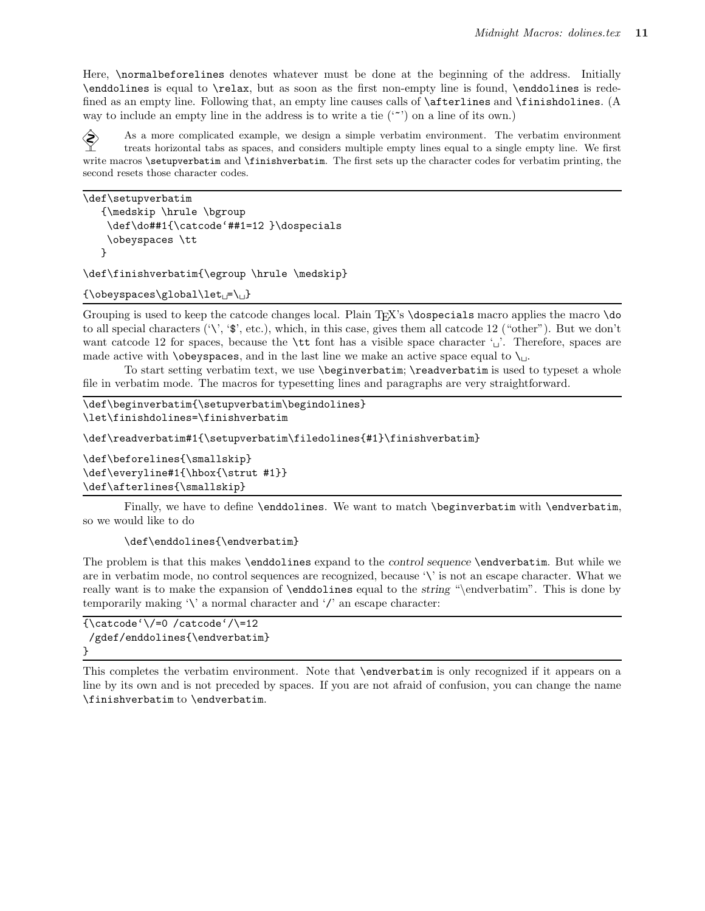Here, \normalbeforelines denotes whatever must be done at the beginning of the address. Initially \enddolines is equal to \relax, but as soon as the first non-empty line is found, \enddolines is redefined as an empty line. Following that, an empty line causes calls of  $\after$  lines and  $\fin$ inishdolines. (A way to include an empty line in the address is to write a tie  $(2)$  on a line of its own.)

 As a more complicated example, we design a simple verbatim environment. The verbatim environment treats horizontal tabs as spaces, and considers multiple empty lines equal to a single empty line. We first write macros **\setupverbatim** and **\finishverbatim**. The first sets up the character codes for verbatim printing, the second resets those character codes.

```
\def\setupverbatim
   {\medskip \hrule \bgroup
   \def\do##1{\catcode'##1=12 }\dospecials
   \obeyspaces \tt
  }
```
\def\finishverbatim{\egroup \hrule \medskip}

 ${\boldsymbol{\Theta}}$ {\obeyspaces\global\let =\

Grouping is used to keep the catcode changes local. Plain T<sub>EX</sub>'s **\dospecials** macro applies the macro **\do** to all special characters  $(\'$ , ' $\mathcal{F}$ ', etc.), which, in this case, gives them all catcode 12 ("other"). But we don't want catcode 12 for spaces, because the  $\tilde{\tau}$  to font has a visible space character ' $\tilde{\tau}$ '. Therefore, spaces are made active with **\obeyspaces**, and in the last line we make an active space equal to  $\iota$ .

To start setting verbatim text, we use \beginverbatim; \readverbatim is used to typeset a whole file in verbatim mode. The macros for typesetting lines and paragraphs are very straightforward.

```
\def\beginverbatim{\setupverbatim\begindolines}
\let\finishdolines=\finishverbatim
```
\def\readverbatim#1{\setupverbatim\filedolines{#1}\finishverbatim}

```
\def\beforelines{\smallskip}
\def\everyline#1{\hbox{\strut #1}}
\def\afterlines{\smallskip}
```
Finally, we have to define \enddolines. We want to match \beginverbatim with \endverbatim, so we would like to do

\def\enddolines{\endverbatim}

The problem is that this makes \enddolines expand to the control sequence \endverbatim. But while we are in verbatim mode, no control sequences are recognized, because '\' is not an escape character. What we really want is to make the expansion of \enddolines equal to the string "\endverbatim". This is done by temporarily making  $\Diamond$  a normal character and  $\Diamond$  an escape character:

```
{\cal C} {\catcode'\/=0 /catcode'/\=12
 /gdef/enddolines{\endverbatim}
}
```
This completes the verbatim environment. Note that \endverbatim is only recognized if it appears on a line by its own and is not preceded by spaces. If you are not afraid of confusion, you can change the name \finishverbatim to \endverbatim.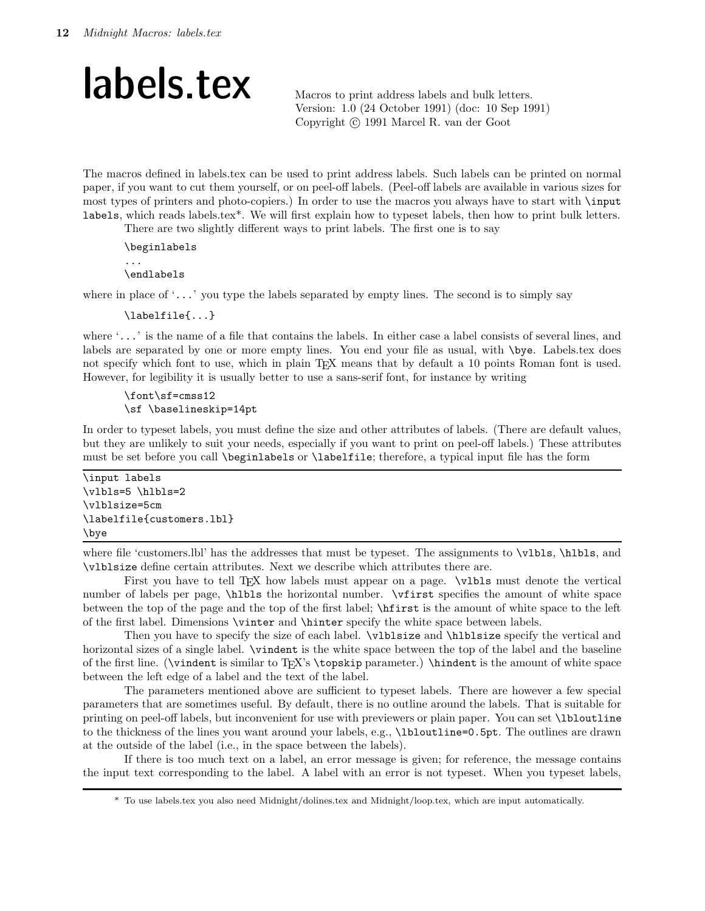### labels.tex Macros to print address labels and bulk letters.

Version: 1.0 (24 October 1991) (doc: 10 Sep 1991) Copyright (c) 1991 Marcel R. van der Goot

The macros defined in labels.tex can be used to print address labels. Such labels can be printed on normal paper, if you want to cut them yourself, or on peel-off labels. (Peel-off labels are available in various sizes for most types of printers and photo-copiers.) In order to use the macros you always have to start with \input labels, which reads labels.tex\*. We will first explain how to typeset labels, then how to print bulk letters.

There are two slightly different ways to print labels. The first one is to say

```
\beginlabels
...
\endlabels
```
where in place of  $\langle \ldots \rangle$  you type the labels separated by empty lines. The second is to simply say

\labelfile{...}

where '...' is the name of a file that contains the labels. In either case a label consists of several lines, and labels are separated by one or more empty lines. You end your file as usual, with \bye. Labels.tex does not specify which font to use, which in plain T<sub>EX</sub> means that by default a 10 points Roman font is used. However, for legibility it is usually better to use a sans-serif font, for instance by writing

\font\sf=cmss12 \sf \baselineskip=14pt

In order to typeset labels, you must define the size and other attributes of labels. (There are default values, but they are unlikely to suit your needs, especially if you want to print on peel-off labels.) These attributes must be set before you call \beginlabels or \labelfile; therefore, a typical input file has the form

\input labels \vlbls=5 \hlbls=2 \vlblsize=5cm \labelfile{customers.lbl} \bye

where file 'customers.lbl' has the addresses that must be typeset. The assignments to  $\nu$ lbls,  $\hbar$ lbls, and \vlblsize define certain attributes. Next we describe which attributes there are.

First you have to tell TEX how labels must appear on a page.  $\nu$ Ibls must denote the vertical number of labels per page, \hlbls the horizontal number. \vfirst specifies the amount of white space between the top of the page and the top of the first label; \hfirst is the amount of white space to the left of the first label. Dimensions \vinter and \hinter specify the white space between labels.

Then you have to specify the size of each label. \vlblsize and \hlblsize specify the vertical and horizontal sizes of a single label.  $\tilde{\ }$  single the white space between the top of the label and the baseline of the first line. (\vindent is similar to TEX's \topskip parameter.) \hindent is the amount of white space between the left edge of a label and the text of the label.

The parameters mentioned above are sufficient to typeset labels. There are however a few special parameters that are sometimes useful. By default, there is no outline around the labels. That is suitable for printing on peel-off labels, but inconvenient for use with previewers or plain paper. You can set \lbloutline to the thickness of the lines you want around your labels, e.g., \lbloutline=0.5pt. The outlines are drawn at the outside of the label (i.e., in the space between the labels).

If there is too much text on a label, an error message is given; for reference, the message contains the input text corresponding to the label. A label with an error is not typeset. When you typeset labels,

<sup>\*</sup> To use labels.tex you also need Midnight/dolines.tex and Midnight/loop.tex, which are input automatically.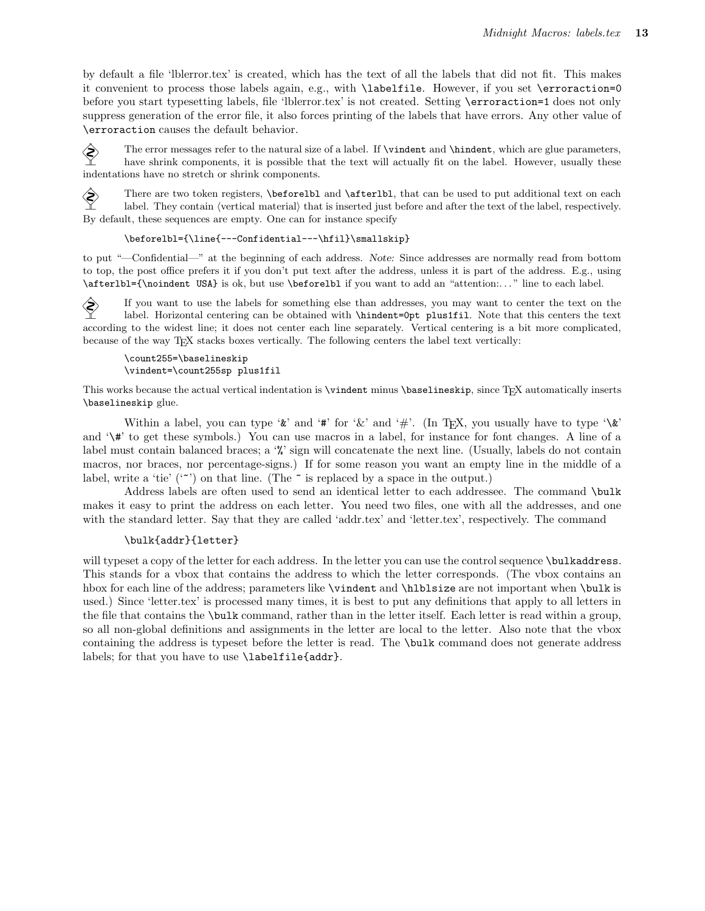by default a file 'lblerror.tex' is created, which has the text of all the labels that did not fit. This makes it convenient to process those labels again, e.g., with \labelfile. However, if you set \erroraction=0 before you start typesetting labels, file 'lblerror.tex' is not created. Setting \erroraction=1 does not only suppress generation of the error file, it also forces printing of the labels that have errors. Any other value of \erroraction causes the default behavior.

The error messages refer to the natural size of a label. If  $\tilde{\theta}$  and  $\tilde{\theta}$  indent, which are glue parameters,<br>have shrink components it is possible that the text will actually fit on the label. However, usually the have shrink components, it is possible that the text will actually fit on the label. However, usually these indentations have no stretch or shrink components.

There are two token registers,  $\begin{pmatrix} \Delta \end{pmatrix}$  and  $\begin{pmatrix} \Delta \end{pmatrix}$ , that can be used to put additional text on each label. They contain (vertical material) that is inserted iust before and after the text of the label, r label. They contain (vertical material) that is inserted just before and after the text of the label, respectively. By default, these sequences are empty. One can for instance specify

#### \beforelbl={\line{---Confidential---\hfil}\smallskip}

to put "—Confidential—" at the beginning of each address. Note: Since addresses are normally read from bottom to top, the post office prefers it if you don't put text after the address, unless it is part of the address. E.g., using \afterlbl={\noindent USA} is ok, but use \beforelbl if you want to add an "attention:. . . " line to each label.

If you want to use the labels for something else than addresses, you may want to center the text on the label. However, and the center of the context of the text of the south of the south of the south of the south of the label. Horizontal centering can be obtained with \hindent=0pt plus1fil. Note that this centers the text according to the widest line; it does not center each line separately. Vertical centering is a bit more complicated, because of the way TEX stacks boxes vertically. The following centers the label text vertically:

#### \count255=\baselineskip \vindent=\count255sp plus1fil

This works because the actual vertical indentation is \vindent minus \baselineskip, since TEX automatically inserts \baselineskip glue.

Within a label, you can type ' $\&$ ' and '#' for ' $\&$ ' and '#'. (In T<sub>E</sub>X, you usually have to type ' $\&$ ' and '\#' to get these symbols.) You can use macros in a label, for instance for font changes. A line of a label must contain balanced braces; a '%' sign will concatenate the next line. (Usually, labels do not contain macros, nor braces, nor percentage-signs.) If for some reason you want an empty line in the middle of a label, write a 'tie' (' $\sim$ ') on that line. (The  $\sim$  is replaced by a space in the output.)

Address labels are often used to send an identical letter to each addressee. The command \bulk makes it easy to print the address on each letter. You need two files, one with all the addresses, and one with the standard letter. Say that they are called 'addr.tex' and 'letter.tex', respectively. The command

#### \bulk{addr}{letter}

will typeset a copy of the letter for each address. In the letter you can use the control sequence \bulkaddress. This stands for a vbox that contains the address to which the letter corresponds. (The vbox contains an hbox for each line of the address; parameters like \vindent and \hlblsize are not important when \bulk is used.) Since 'letter.tex' is processed many times, it is best to put any definitions that apply to all letters in the file that contains the \bulk command, rather than in the letter itself. Each letter is read within a group, so all non-global definitions and assignments in the letter are local to the letter. Also note that the vbox containing the address is typeset before the letter is read. The \bulk command does not generate address labels; for that you have to use \labelfile{addr}.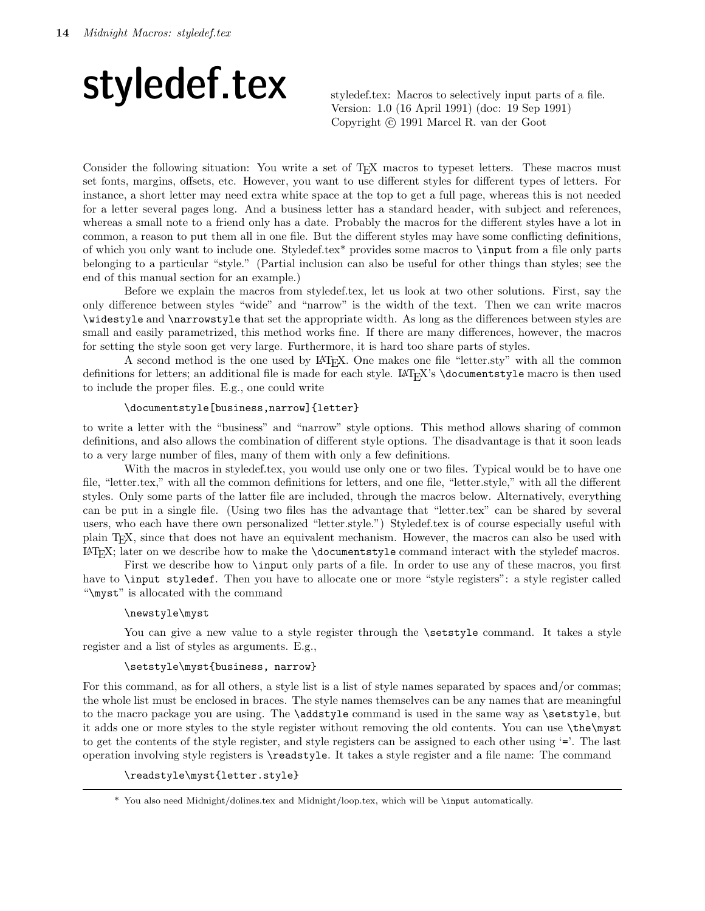# styledef.tex: Macros to selectively input parts of a file.

Version: 1.0 (16 April 1991) (doc: 19 Sep 1991) Copyright (c) 1991 Marcel R. van der Goot

Consider the following situation: You write a set of T<sub>E</sub>X macros to typeset letters. These macros must set fonts, margins, offsets, etc. However, you want to use different styles for different types of letters. For instance, a short letter may need extra white space at the top to get a full page, whereas this is not needed for a letter several pages long. And a business letter has a standard header, with subject and references, whereas a small note to a friend only has a date. Probably the macros for the different styles have a lot in common, a reason to put them all in one file. But the different styles may have some conflicting definitions, of which you only want to include one. Styledef.tex\* provides some macros to \input from a file only parts belonging to a particular "style." (Partial inclusion can also be useful for other things than styles; see the end of this manual section for an example.)

Before we explain the macros from styledef.tex, let us look at two other solutions. First, say the only difference between styles "wide" and "narrow" is the width of the text. Then we can write macros \widestyle and \narrowstyle that set the appropriate width. As long as the differences between styles are small and easily parametrized, this method works fine. If there are many differences, however, the macros for setting the style soon get very large. Furthermore, it is hard too share parts of styles.

A second method is the one used by LATEX. One makes one file "letter.sty" with all the common definitions for letters; an additional file is made for each style. LAT<sub>EX</sub>'s \documentstyle macro is then used to include the proper files. E.g., one could write

#### \documentstyle[business,narrow]{letter}

to write a letter with the "business" and "narrow" style options. This method allows sharing of common definitions, and also allows the combination of different style options. The disadvantage is that it soon leads to a very large number of files, many of them with only a few definitions.

With the macros in styledef.tex, you would use only one or two files. Typical would be to have one file, "letter.tex," with all the common definitions for letters, and one file, "letter.style," with all the different styles. Only some parts of the latter file are included, through the macros below. Alternatively, everything can be put in a single file. (Using two files has the advantage that "letter.tex" can be shared by several users, who each have there own personalized "letter.style.") Styledef.tex is of course especially useful with plain TEX, since that does not have an equivalent mechanism. However, the macros can also be used with LATEX; later on we describe how to make the \documentstyle command interact with the styledef macros.

First we describe how to **\input** only parts of a file. In order to use any of these macros, you first have to \input styledef. Then you have to allocate one or more "style registers": a style register called "\myst" is allocated with the command

#### \newstyle\myst

You can give a new value to a style register through the **\setstyle** command. It takes a style register and a list of styles as arguments. E.g.,

#### \setstyle\myst{business, narrow}

For this command, as for all others, a style list is a list of style names separated by spaces and/or commas; the whole list must be enclosed in braces. The style names themselves can be any names that are meaningful to the macro package you are using. The **\addstyle** command is used in the same way as **\setstyle**, but it adds one or more styles to the style register without removing the old contents. You can use \the\myst to get the contents of the style register, and style registers can be assigned to each other using '='. The last operation involving style registers is \readstyle. It takes a style register and a file name: The command

\readstyle\myst{letter.style}

<sup>\*</sup> You also need Midnight/dolines.tex and Midnight/loop.tex, which will be \input automatically.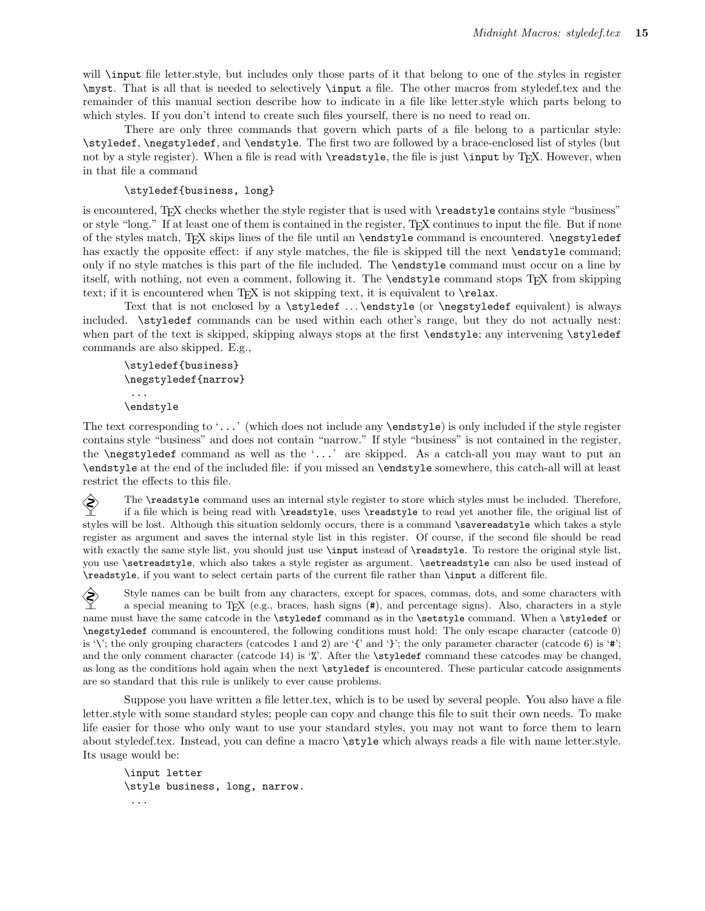will \input file letter.style, but includes only those parts of it that belong to one of the styles in register \myst. That is all that is needed to selectively \input a file. The other macros from styledef.tex and the remainder of this manual section describe how to indicate in a file like letter.style which parts belong to which styles. If you don't intend to create such files yourself, there is no need to read on.

There are only three commands that govern which parts of a file belong to a particular style: \styledef, \negstyledef, and \endstyle. The first two are followed by a brace-enclosed list of styles (but not by a style register). When a file is read with **\readstyle**, the file is just **\input** by T<sub>E</sub>X. However, when in that file a command

#### \styledef{business, long}

is encountered, T<sub>E</sub>X checks whether the style register that is used with **\readstyle** contains style "business" or style "long." If at least one of them is contained in the register, TEX continues to input the file. But if none of the styles match, TEX skips lines of the file until an \endstyle command is encountered. \negstyledef has exactly the opposite effect: if any style matches, the file is skipped till the next **\endstyle** command; only if no style matches is this part of the file included. The \endstyle command must occur on a line by itself, with nothing, not even a comment, following it. The \endstyle command stops TEX from skipping text; if it is encountered when T<sub>E</sub>X is not skipping text, it is equivalent to  $\relax$ .

Text that is not enclosed by a \styledef . . . \endstyle (or \negstyledef equivalent) is always included. \styledef commands can be used within each other's range, but they do not actually nest: when part of the text is skipped, skipping always stops at the first \endstyle; any intervening \styledef commands are also skipped. E.g.,

```
\styledef{business}
\negstyledef{narrow}
 ...
\endstyle
```
The text corresponding to '...' (which does not include any  $\end{math}$  is only included if the style register contains style "business" and does not contain "narrow." If style "business" is not contained in the register, the \negstyledef command as well as the '...' are skipped. As a catch-all you may want to put an \endstyle at the end of the included file: if you missed an \endstyle somewhere, this catch-all will at least restrict the effects to this file.

The  $\text{readstyle}$  command uses an internal style register to store which styles must be included. Therefore, if a file which is being read with  $\text{readstyle}$  uses  $\text{readstyle}$  to read vet another file, the original list of if a file which is being read with \readstyle, uses \readstyle to read yet another file, the original list of styles will be lost. Although this situation seldomly occurs, there is a command \savereadstyle which takes a style register as argument and saves the internal style list in this register. Of course, if the second file should be read with exactly the same style list, you should just use \input instead of \readstyle. To restore the original style list, you use \setreadstyle, which also takes a style register as argument. \setreadstyle can also be used instead of \readstyle, if you want to select certain parts of the current file rather than \input a different file.

Style names can be built from any characters, except for spaces, commas, dots, and some characters with<br>a special meaning to TpX (e.g. braces, hash signs  $(\#)$ ) and percentage signs). Also, characters in a style a special meaning to T<sub>E</sub>X (e.g., braces, hash signs  $(\#)$ , and percentage signs). Also, characters in a style name must have the same catcode in the \styledef command as in the \setstyle command. When a \styledef or \negstyledef command is encountered, the following conditions must hold: The only escape character (catcode 0) is '\'; the only grouping characters (catcodes 1 and 2) are '{' and '}'; the only parameter character (catcode 6) is '#'; and the only comment character (catcode 14) is '%'. After the \styledef command these catcodes may be changed, as long as the conditions hold again when the next \styledef is encountered. These particular catcode assignments are so standard that this rule is unlikely to ever cause problems.

Suppose you have written a file letter.tex, which is to be used by several people. You also have a file letter.style with some standard styles; people can copy and change this file to suit their own needs. To make life easier for those who only want to use your standard styles, you may not want to force them to learn about styledef.tex. Instead, you can define a macro \style which always reads a file with name letter.style. Its usage would be:

```
\input letter
\style business, long, narrow.
 ...
```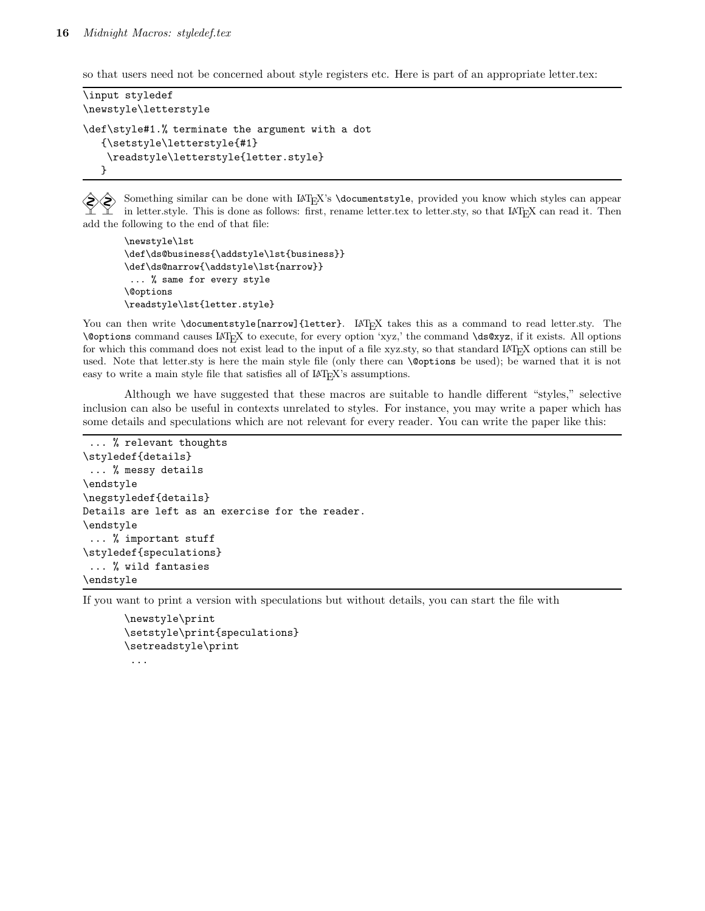so that users need not be concerned about style registers etc. Here is part of an appropriate letter.tex:

```
\input styledef
\newstyle\letterstyle
\def\style#1.% terminate the argument with a dot
   {\setstyle\letterstyle{#1}
    \readstyle\letterstyle{letter.style}
  }
```
Something similar can be done with  $\text{LATEX's }\text{locument style}$ , provided you know which styles can appear in letter.style. This is done as follows: first, rename letter.tex to letter.sty, so that  $LATEX$  can read it. Then add the following to the end of that file:

```
\newstyle\lst
\def\ds@business{\addstyle\lst{business}}
\def\ds@narrow{\addstyle\lst{narrow}}
 ... % same for every style
\@options
\readstyle\lst{letter.style}
```
You can then write \documentstyle[narrow]{letter}. LAT<sub>EX</sub> takes this as a command to read letter.sty. The \@options command causes <sup>L</sup><sup>A</sup>TEX to execute, for every option 'xyz,' the command \ds@xyz, if it exists. All options for which this command does not exist lead to the input of a file xyz.sty, so that standard LAT<sub>E</sub>X options can still be used. Note that letter.sty is here the main style file (only there can \@options be used); be warned that it is not easy to write a main style file that satisfies all of  $LAT$ <sub>E</sub>X's assumptions.

Although we have suggested that these macros are suitable to handle different "styles," selective inclusion can also be useful in contexts unrelated to styles. For instance, you may write a paper which has some details and speculations which are not relevant for every reader. You can write the paper like this:

```
... % relevant thoughts
\styledef{details}
 ... % messy details
\endstyle
\negstyledef{details}
Details are left as an exercise for the reader.
\endstyle
 ... % important stuff
\styledef{speculations}
 ... % wild fantasies
\endstyle
```
If you want to print a version with speculations but without details, you can start the file with

```
\newstyle\print
\setstyle\print{speculations}
\setreadstyle\print
 ...
```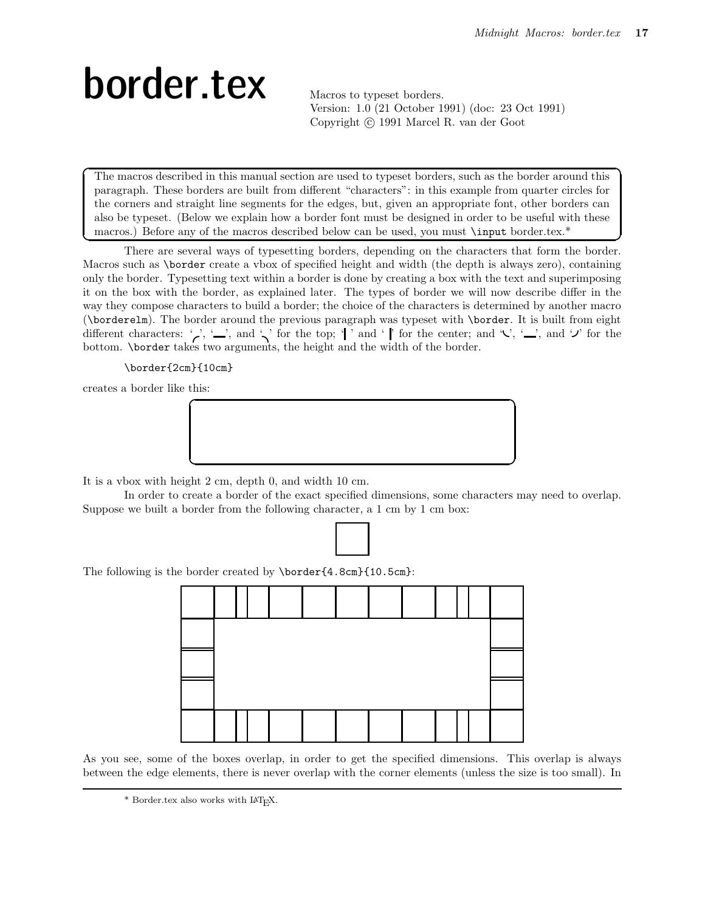# border.tex Macros to typeset borders.

Version: 1.0 (21 October 1991) (doc: 23 Oct 1991) Copyright (c) 1991 Marcel R. van der Goot

The macros described in this manual section are used to typeset borders, such as the border around this paragraph. These borders are built from different "characters": in this example from quarter circles for the corners and straight line segments for the edges, but, given an appropriate font, other borders can also be typeset. (Below we explain how a border font must be designed in order to be useful with these macros.) Before any of the macros described below can be used, you must \input border.tex.\*

 $\sim$  by the contract of the contract of the contract of the contract of the contract of the contract of the contract of the contract of the contract of the contract of the contract of the contract of the contract of the c There are several ways of typesetting borders, depending on the characters that form the border. Macros such as \border create a vbox of specified height and width (the depth is always zero), containing only the border. Typesetting text within a border is done by creating a box with the text and superimposing it on the box with the border, as explained later. The types of border we will now describe differ in the way they compose characters to build a border; the choice of the characters is determined by another macro (\borderelm). The border around the previous paragraph was typeset with \border. It is built from eight different characters: ',', ',, and ',' for the top; '|' and '|' for the center; and '\city', ',, and '\pi' for the bottom. \border takes two arguments, the height and the width of the border.

\border{2cm}{10cm}

creates a border like this:



It is a vbox with height 2 cm, depth 0, and width 10 cm.

In order to create a border of the exact specified dimensions, some characters may need to overlap. Suppose we built a border from the following character, a 1 cm by 1 cm box:



The following is the border created by \border{4.8cm}{10.5cm}:



As you see, some of the boxes overlap, in order to get the specified dimensions. This overlap is always between the edge elements, there is never overlap with the corner elements (unless the size is too small). In

 $^*$  Border.tex also works with IATEX.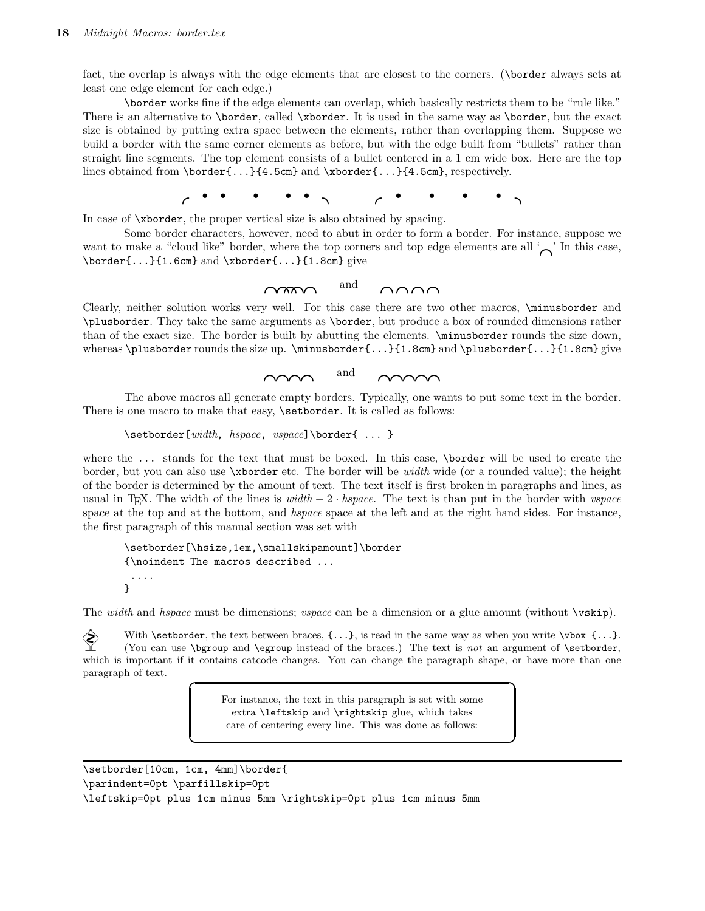fact, the overlap is always with the edge elements that are closest to the corners. (\border always sets at least one edge element for each edge.)

\border works fine if the edge elements can overlap, which basically restricts them to be "rule like." There is an alternative to \border, called \xborder. It is used in the same way as \border, but the exact size is obtained by putting extra space between the elements, rather than overlapping them. Suppose we build a border with the same corner elements as before, but with the edge built from "bullets" rather than straight line segments. The top element consists of a bullet centered in a 1 cm wide box. Here are the top lines obtained from \border{...}{4.5cm} and \xborder{...}{4.5cm}, respectively.

d • • • • • a d • • • • a

In case of \xborder, the proper vertical size is also obtained by spacing.

Some border characters, however, need to abut in order to form a border. For instance, suppose we want to make a "cloud like" border, where the top corners and top edge elements are all  $\sim$ " In this case, \border{...}{1.6cm} and \xborder{...}{1.8cm} give

dadadadada and dadadada

Clearly, neither solution works very well. For this case there are two other macros, \minusborder and \plusborder. They take the same arguments as \border, but produce a box of rounded dimensions rather than of the exact size. The border is built by abutting the elements. \minusborder rounds the size down, whereas \plusborder rounds the size up. \minusborder $\{ \dots \}$ {1.8cm} and \plusborder{...}{1.8cm} give



The above macros all generate empty borders. Typically, one wants to put some text in the border. There is one macro to make that easy, **\setborder**. It is called as follows:

```
\setborder[width, hspace, vspace]\border{ ... }
```
where the ... stands for the text that must be boxed. In this case, \border will be used to create the border, but you can also use \xborder etc. The border will be *width* wide (or a rounded value); the height of the border is determined by the amount of text. The text itself is first broken in paragraphs and lines, as usual in T<sub>E</sub>X. The width of the lines is *width*  $-2 \cdot hspace$ . The text is than put in the border with *vspace*. space at the top and at the bottom, and *hspace* space at the left and at the right hand sides. For instance, the first paragraph of this manual section was set with

```
\setborder[\hsize,1em,\smallskipamount]\border
{\noindent The macros described ...
 ....
}
```
The *width* and *hspace* must be dimensions; *vspace* can be a dimension or a glue amount (without \vskip).

With \setborder, the text between braces,  $\{\ldots\}$ , is read in the same way as when you write  $\forall$ box  $\{\ldots\}$ . (You can use  $\begin{array}{c} \text{if } \text{if } x \in \mathbb{Z} \text{ is not an argument of } \text{setborder}, \end{array}$ which is important if it contains catcode changes. You can change the paragraph shape, or have more than one paragraph of text.

> For instance, the text in this paragraph is set with some extra \leftskip and \rightskip glue, which takes care of centering every line. This was done as follows:

 $\overline{\phantom{a}}$ 

<u>c based on the set of the set of the set of the set of the set of the set of the set of the set of the set of the set of the set of the set of the set of the set of the set of the set of the set of the set of the set of t</u>

```
\setborder[10cm, 1cm, 4mm]\border{
\parindent=0pt \parfillskip=0pt
\leftskip=0pt plus 1cm minus 5mm \rightskip=0pt plus 1cm minus 5mm
```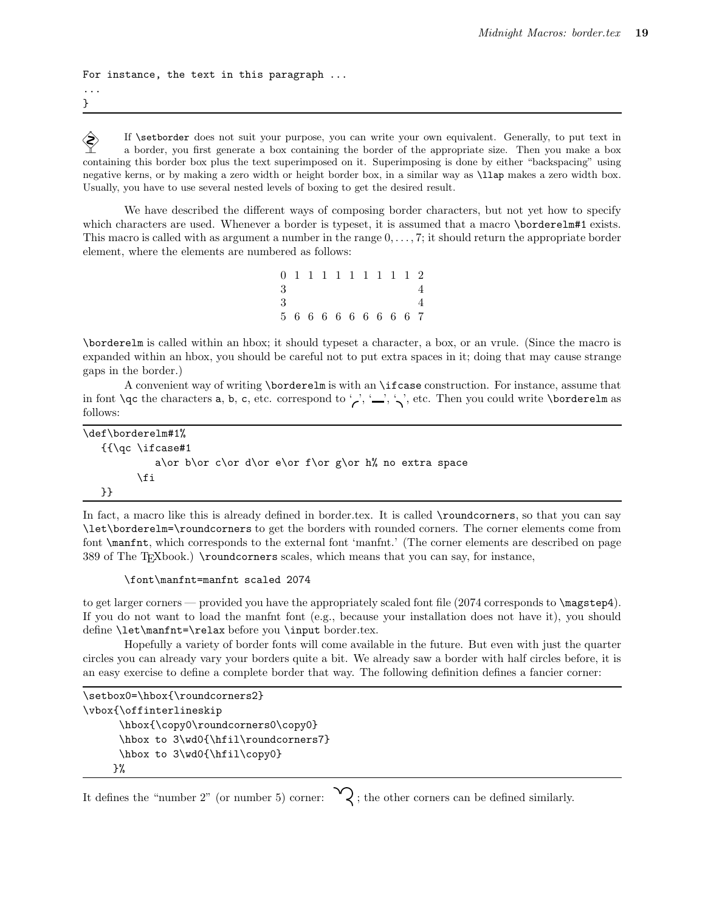```
For instance, the text in this paragraph ...
...
```
}

If \setborder does not suit your purpose, you can write your own equivalent. Generally, to put text in a border, you first generate a box containing the border of the appropriate size. Then you make a box a border, you first generate a box containing the border of the appropriate size. Then you make a box containing this border box plus the text superimposed on it. Superimposing is done by either "backspacing" using negative kerns, or by making a zero width or height border box, in a similar way as \llap makes a zero width box. Usually, you have to use several nested levels of boxing to get the desired result.

We have described the different ways of composing border characters, but not yet how to specify which characters are used. Whenever a border is typeset, it is assumed that a macro \borderelm#1 exists. This macro is called with as argument a number in the range  $0, \ldots, 7$ ; it should return the appropriate border element, where the elements are numbered as follows:

|   |  |  |  | 0 1 1 1 1 1 1 1 1 1 2 |  |
|---|--|--|--|-----------------------|--|
| 3 |  |  |  |                       |  |
| 3 |  |  |  |                       |  |
|   |  |  |  | 5 6 6 6 6 6 6 6 6 6 7 |  |

\borderelm is called within an hbox; it should typeset a character, a box, or an vrule. (Since the macro is expanded within an hbox, you should be careful not to put extra spaces in it; doing that may cause strange gaps in the border.)

A convenient way of writing \borderelm is with an \ifcase construction. For instance, assume that in font  $\qquad \cdot$  the characters a, b, c, etc. correspond to ',', ',',', etc. Then you could write  $\cdot \cdot \cdot$ follows:

```
\def\borderelm#1%
   {{\qc \ifcase#1
            a\or b\or c\or d\or e\or f\or g\or h% no extra space
         \fi
   }}
```
In fact, a macro like this is already defined in border.tex. It is called **\roundcorners**, so that you can say \let\borderelm=\roundcorners to get the borders with rounded corners. The corner elements come from font \manfnt, which corresponds to the external font 'manfnt.' (The corner elements are described on page 389 of The TEXbook.) \roundcorners scales, which means that you can say, for instance,

```
\font\manfnt=manfnt scaled 2074
```
to get larger corners — provided you have the appropriately scaled font file (2074 corresponds to \magstep4). If you do not want to load the manfnt font (e.g., because your installation does not have it), you should define \let\manfnt=\relax before you \input border.tex.

Hopefully a variety of border fonts will come available in the future. But even with just the quarter circles you can already vary your borders quite a bit. We already saw a border with half circles before, it is an easy exercise to define a complete border that way. The following definition defines a fancier corner:

```
\setbox0=\hbox{\roundcorners2}
\vbox{\offinterlineskip
      \hbox{\copy0\roundcorners0\copy0}
      \hbox to 3\wd0{\hfil\roundcorners7}
      \hbox to 3\wd0{\hfil\copy0}
     \frac{1}{2}%
```

```
It defines the "number 2" (or number 5) corner: \bigvee; the other corners can be defined similarly.
```